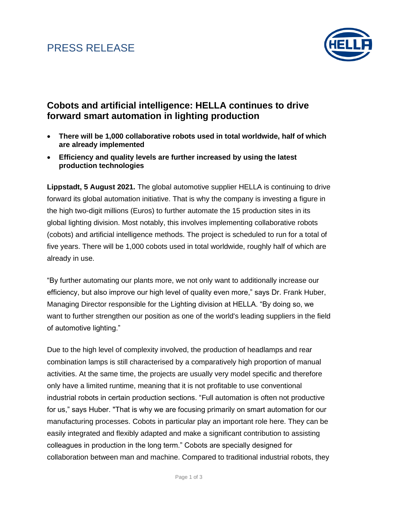### PRESS RELEASE



#### **Cobots and artificial intelligence: HELLA continues to drive forward smart automation in lighting production**

- **There will be 1,000 collaborative robots used in total worldwide, half of which are already implemented**
- **Efficiency and quality levels are further increased by using the latest production technologies**

**Lippstadt, 5 August 2021.** The global automotive supplier HELLA is continuing to drive forward its global automation initiative. That is why the company is investing a figure in the high two-digit millions (Euros) to further automate the 15 production sites in its global lighting division. Most notably, this involves implementing collaborative robots (cobots) and artificial intelligence methods. The project is scheduled to run for a total of five years. There will be 1,000 cobots used in total worldwide, roughly half of which are already in use.

"By further automating our plants more, we not only want to additionally increase our efficiency, but also improve our high level of quality even more," says Dr. Frank Huber, Managing Director responsible for the Lighting division at HELLA. "By doing so, we want to further strengthen our position as one of the world's leading suppliers in the field of automotive lighting."

Due to the high level of complexity involved, the production of headlamps and rear combination lamps is still characterised by a comparatively high proportion of manual activities. At the same time, the projects are usually very model specific and therefore only have a limited runtime, meaning that it is not profitable to use conventional industrial robots in certain production sections. "Full automation is often not productive for us," says Huber. "That is why we are focusing primarily on smart automation for our manufacturing processes. Cobots in particular play an important role here. They can be easily integrated and flexibly adapted and make a significant contribution to assisting colleagues in production in the long term." Cobots are specially designed for collaboration between man and machine. Compared to traditional industrial robots, they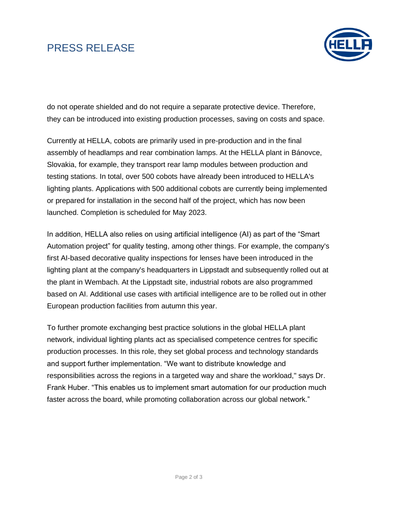# PRESS RELEASE



do not operate shielded and do not require a separate protective device. Therefore, they can be introduced into existing production processes, saving on costs and space.

Currently at HELLA, cobots are primarily used in pre-production and in the final assembly of headlamps and rear combination lamps. At the HELLA plant in Bánovce, Slovakia, for example, they transport rear lamp modules between production and testing stations. In total, over 500 cobots have already been introduced to HELLA's lighting plants. Applications with 500 additional cobots are currently being implemented or prepared for installation in the second half of the project, which has now been launched. Completion is scheduled for May 2023.

In addition, HELLA also relies on using artificial intelligence (AI) as part of the "Smart Automation project" for quality testing, among other things. For example, the company's first AI-based decorative quality inspections for lenses have been introduced in the lighting plant at the company's headquarters in Lippstadt and subsequently rolled out at the plant in Wembach. At the Lippstadt site, industrial robots are also programmed based on AI. Additional use cases with artificial intelligence are to be rolled out in other European production facilities from autumn this year.

To further promote exchanging best practice solutions in the global HELLA plant network, individual lighting plants act as specialised competence centres for specific production processes. In this role, they set global process and technology standards and support further implementation. "We want to distribute knowledge and responsibilities across the regions in a targeted way and share the workload," says Dr. Frank Huber. "This enables us to implement smart automation for our production much faster across the board, while promoting collaboration across our global network."